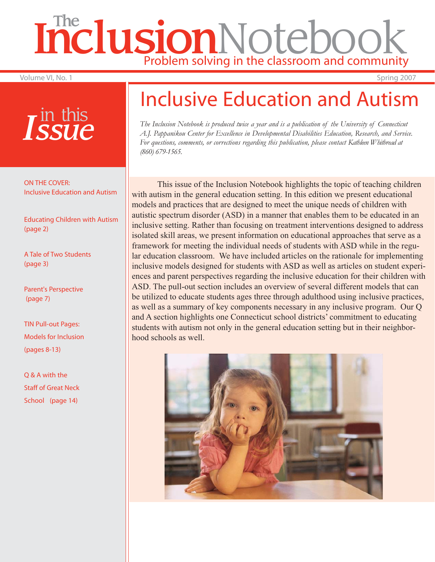# Inclusion Notebook Problem solving in the classroom and community

Volume VI, No. 1 Spring 2007

## *Issue* in this

ON THE COVER: Inclusive Education and Autism

Educating Children with Autism (page 2)

A Tale of Two Students (page 3)

Parent's Perspective (page 7)

TIN Pull-out Pages: Models for Inclusion (pages 8-13)

Q & A with the Staff of Great Neck School (page 14)

## Inclusive Education and Autism

*The Inclusion Notebook is produced twice a year and is a publication of the University of Connecticut A.J. Pappanikou Center for Excellence in Developmental Disabilities Education, Research, and Service. For questions, comments, or corrections regarding this publication, please contact Kathleen Whitbread at (860) 679-1565.*

 This issue of the Inclusion Notebook highlights the topic of teaching children with autism in the general education setting. In this edition we present educational models and practices that are designed to meet the unique needs of children with autistic spectrum disorder (ASD) in a manner that enables them to be educated in an inclusive setting. Rather than focusing on treatment interventions designed to address isolated skill areas, we present information on educational approaches that serve as a framework for meeting the individual needs of students with ASD while in the regular education classroom. We have included articles on the rationale for implementing inclusive models designed for students with ASD as well as articles on student experiences and parent perspectives regarding the inclusive education for their children with ASD. The pull-out section includes an overview of several different models that can be utilized to educate students ages three through adulthood using inclusive practices, as well as a summary of key components necessary in any inclusive program. Our Q and A section highlights one Connecticut school districts' commitment to educating students with autism not only in the general education setting but in their neighborhood schools as well.

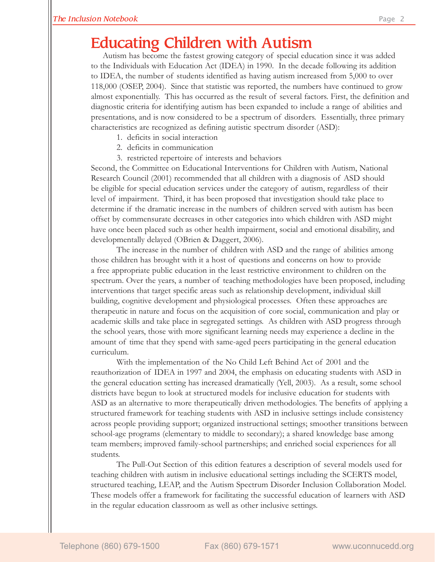### Educating Children with Autism

 Autism has become the fastest growing category of special education since it was added to the Individuals with Education Act (IDEA) in 1990. In the decade following its addition to IDEA, the number of students identified as having autism increased from 5,000 to over 118,000 (OSEP, 2004). Since that statistic was reported, the numbers have continued to grow almost exponentially. This has occurred as the result of several factors. First, the definition and diagnostic criteria for identifying autism has been expanded to include a range of abilities and presentations, and is now considered to be a spectrum of disorders. Essentially, three primary characteristics are recognized as defining autistic spectrum disorder (ASD):

- 1. deficits in social interaction
- 2. deficits in communication
- 3. restricted repertoire of interests and behaviors

Second, the Committee on Educational Interventions for Children with Autism, National Research Council (2001) recommended that all children with a diagnosis of ASD should be eligible for special education services under the category of autism, regardless of their level of impairment. Third, it has been proposed that investigation should take place to determine if the dramatic increase in the numbers of children served with autism has been offset by commensurate decreases in other categories into which children with ASD might have once been placed such as other health impairment, social and emotional disability, and developmentally delayed (OBrien & Daggert, 2006).

 The increase in the number of children with ASD and the range of abilities among those children has brought with it a host of questions and concerns on how to provide a free appropriate public education in the least restrictive environment to children on the spectrum. Over the years, a number of teaching methodologies have been proposed, including interventions that target specific areas such as relationship development, individual skill building, cognitive development and physiological processes. Often these approaches are therapeutic in nature and focus on the acquisition of core social, communication and play or academic skills and take place in segregated settings. As children with ASD progress through the school years, those with more significant learning needs may experience a decline in the amount of time that they spend with same-aged peers participating in the general education curriculum.

 With the implementation of the No Child Left Behind Act of 2001 and the reauthorization of IDEA in 1997 and 2004, the emphasis on educating students with ASD in the general education setting has increased dramatically (Yell, 2003). As a result, some school districts have begun to look at structured models for inclusive education for students with ASD as an alternative to more therapeutically driven methodologies. The benefits of applying a structured framework for teaching students with ASD in inclusive settings include consistency across people providing support; organized instructional settings; smoother transitions between school-age programs (elementary to middle to secondary); a shared knowledge base among team members; improved family-school partnerships; and enriched social experiences for all students.

 The Pull-Out Section of this edition features a description of several models used for teaching children with autism in inclusive educational settings including the SCERTS model, structured teaching, LEAP, and the Autism Spectrum Disorder Inclusion Collaboration Model. These models offer a framework for facilitating the successful education of learners with ASD in the regular education classroom as well as other inclusive settings.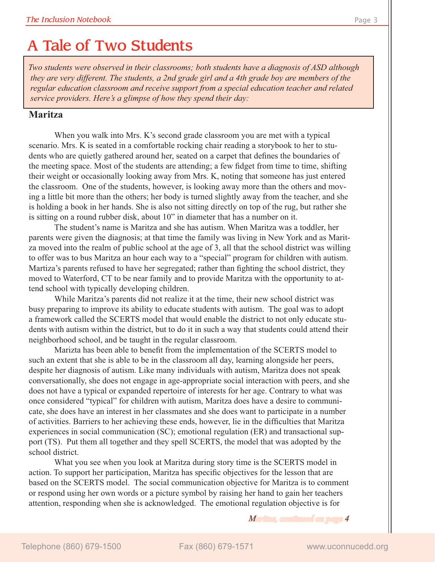## A Tale of Two Students

*Two students were observed in their classrooms; both students have a diagnosis of ASD although they are very different. The students, a 2nd grade girl and a 4th grade boy are members of the regular education classroom and receive support from a special education teacher and related service providers. Here's a glimpse of how they spend their day:*

#### **Maritza**

 When you walk into Mrs. K's second grade classroom you are met with a typical scenario. Mrs. K is seated in a comfortable rocking chair reading a storybook to her to students who are quietly gathered around her, seated on a carpet that defines the boundaries of the meeting space. Most of the students are attending; a few fidget from time to time, shifting their weight or occasionally looking away from Mrs. K, noting that someone has just entered the classroom. One of the students, however, is looking away more than the others and moving a little bit more than the others; her body is turned slightly away from the teacher, and she is holding a book in her hands. She is also not sitting directly on top of the rug, but rather she is sitting on a round rubber disk, about 10" in diameter that has a number on it.

 The student's name is Maritza and she has autism. When Maritza was a toddler, her parents were given the diagnosis; at that time the family was living in New York and as Maritza moved into the realm of public school at the age of 3, all that the school district was willing to offer was to bus Maritza an hour each way to a "special" program for children with autism. Martiza's parents refused to have her segregated; rather than fighting the school district, they moved to Waterford, CT to be near family and to provide Maritza with the opportunity to attend school with typically developing children.

 While Maritza's parents did not realize it at the time, their new school district was busy preparing to improve its ability to educate students with autism. The goal was to adopt a framework called the SCERTS model that would enable the district to not only educate students with autism within the district, but to do it in such a way that students could attend their neighborhood school, and be taught in the regular classroom.

 Marizta has been able to benefi t from the implementation of the SCERTS model to such an extent that she is able to be in the classroom all day, learning alongside her peers, despite her diagnosis of autism. Like many individuals with autism, Maritza does not speak conversationally, she does not engage in age-appropriate social interaction with peers, and she does not have a typical or expanded repertoire of interests for her age. Contrary to what was once considered "typical" for children with autism, Maritza does have a desire to communicate, she does have an interest in her classmates and she does want to participate in a number of activities. Barriers to her achieving these ends, however, lie in the difficulties that Maritza experiences in social communication (SC); emotional regulation (ER) and transactional support (TS). Put them all together and they spell SCERTS, the model that was adopted by the school district.

 What you see when you look at Maritza during story time is the SCERTS model in action. To support her participation, Maritza has specific objectives for the lesson that are based on the SCERTS model. The social communication objective for Maritza is to comment or respond using her own words or a picture symbol by raising her hand to gain her teachers attention, responding when she is acknowledged. The emotional regulation objective is for

#### *Maritza, continued on page aritza, 4*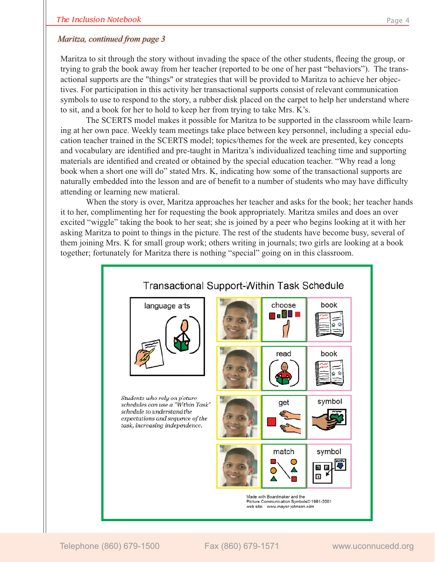#### *Maritza, continued from page 3*

Maritza to sit through the story without invading the space of the other students, fleeing the group, or trying to grab the book away from her teacher (reported to be one of her past "behaviors"). The transactional supports are the "things" or strategies that will be provided to Maritza to achieve her objectives. For participation in this activity her transactional supports consist of relevant communication symbols to use to respond to the story, a rubber disk placed on the carpet to help her understand where to sit, and a book for her to hold to keep her from trying to take Mrs. K's.

 The SCERTS model makes it possible for Maritza to be supported in the classroom while learning at her own pace. Weekly team meetings take place between key personnel, including a special education teacher trained in the SCERTS model; topics/themes for the week are presented, key concepts and vocabulary are identified and pre-taught in Maritza's individualized teaching time and supporting materials are identified and created or obtained by the special education teacher. "Why read a long book when a short one will do" stated Mrs. K, indicating how some of the transactional supports are naturally embedded into the lesson and are of benefit to a number of students who may have difficulty attending or learning new matieral.

 When the story is over, Maritza approaches her teacher and asks for the book; her teacher hands it to her, complimenting her for requesting the book appropriately. Maritza smiles and does an over excited "wiggle" taking the book to her seat; she is joined by a peer who begins looking at it with her asking Maritza to point to things in the picture. The rest of the students have become busy, several of them joining Mrs. K for small group work; others writing in journals; two girls are looking at a book together; fortunately for Maritza there is nothing "special" going on in this classroom.

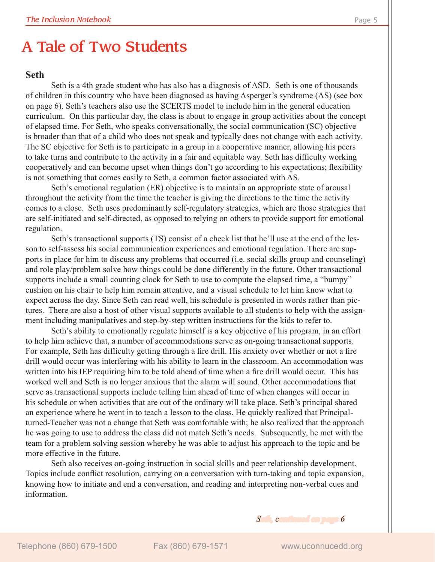## A Tale of Two Students

#### **Seth**

 Seth is a 4th grade student who has also has a diagnosis of ASD. Seth is one of thousands of children in this country who have been diagnosed as having Asperger's syndrome (AS) (see box on page 6). Seth's teachers also use the SCERTS model to include him in the general education curriculum. On this particular day, the class is about to engage in group activities about the concept of elapsed time. For Seth, who speaks conversationally, the social communication (SC) objective is broader than that of a child who does not speak and typically does not change with each activity. The SC objective for Seth is to participate in a group in a cooperative manner, allowing his peers to take turns and contribute to the activity in a fair and equitable way. Seth has difficulty working cooperatively and can become upset when things don't go according to his expectations; flexibility is not something that comes easily to Seth, a common factor associated with AS.

 Seth's emotional regulation (ER) objective is to maintain an appropriate state of arousal throughout the activity from the time the teacher is giving the directions to the time the activity comes to a close. Seth uses predominantly self-regulatory strategies, which are those strategies that are self-initiated and self-directed, as opposed to relying on others to provide support for emotional regulation.

 Seth's transactional supports (TS) consist of a check list that he'll use at the end of the lesson to self-assess his social communication experiences and emotional regulation. There are supports in place for him to discuss any problems that occurred (i.e. social skills group and counseling) and role play/problem solve how things could be done differently in the future. Other transactional supports include a small counting clock for Seth to use to compute the elapsed time, a "bumpy" cushion on his chair to help him remain attentive, and a visual schedule to let him know what to expect across the day. Since Seth can read well, his schedule is presented in words rather than pictures. There are also a host of other visual supports available to all students to help with the assignment including manipulatives and step-by-step written instructions for the kids to refer to.

 Seth's ability to emotionally regulate himself is a key objective of his program, in an effort to help him achieve that, a number of accommodations serve as on-going transactional supports. For example, Seth has difficulty getting through a fire drill. His anxiety over whether or not a fire drill would occur was interfering with his ability to learn in the classroom. An accommodation was written into his IEP requiring him to be told ahead of time when a fire drill would occur. This has worked well and Seth is no longer anxious that the alarm will sound. Other accommodations that serve as transactional supports include telling him ahead of time of when changes will occur in his schedule or when activities that are out of the ordinary will take place. Seth's principal shared an experience where he went in to teach a lesson to the class. He quickly realized that Principalturned-Teacher was not a change that Seth was comfortable with; he also realized that the approach he was going to use to address the class did not match Seth's needs. Subsequently, he met with the team for a problem solving session whereby he was able to adjust his approach to the topic and be more effective in the future.

 Seth also receives on-going instruction in social skills and peer relationship development. Topics include conflict resolution, carrying on a conversation with turn-taking and topic expansion, knowing how to initiate and end a conversation, and reading and interpreting non-verbal cues and information.

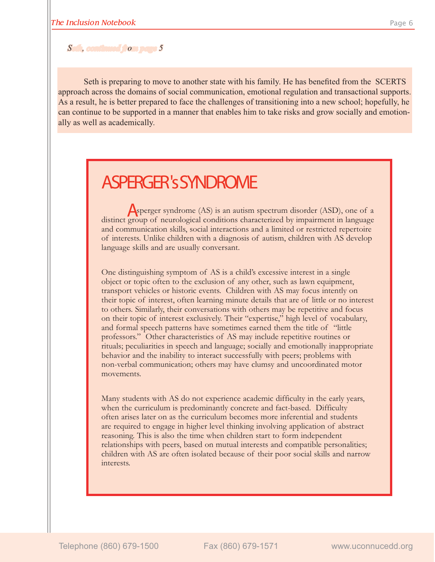#### *Seth, continued from page 5*

Seth is preparing to move to another state with his family. He has benefited from the SCERTS approach across the domains of social communication, emotional regulation and transactional supports. As a result, he is better prepared to face the challenges of transitioning into a new school; hopefully, he can continue to be supported in a manner that enables him to take risks and grow socially and emotionally as well as academically.

## ASPERGER 's SYNDROME

Asperger syndrome (AS) is an autism spectrum disorder (ASD), one of a distinct group of neurological conditions characterized by impairment in language and communication skills, social interactions and a limited or restricted repertoire of interests. Unlike children with a diagnosis of autism, children with AS develop language skills and are usually conversant.

One distinguishing symptom of AS is a child's excessive interest in a single object or topic often to the exclusion of any other, such as lawn equipment, transport vehicles or historic events. Children with AS may focus intently on their topic of interest, often learning minute details that are of little or no interest to others. Similarly, their conversations with others may be repetitive and focus on their topic of interest exclusively. Their "expertise," high level of vocabulary, and formal speech patterns have sometimes earned them the title of "little professors." Other characteristics of AS may include repetitive routines or rituals; peculiarities in speech and language; socially and emotionally inappropriate behavior and the inability to interact successfully with peers; problems with non-verbal communication; others may have clumsy and uncoordinated motor movements.

Many students with AS do not experience academic difficulty in the early years, when the curriculum is predominantly concrete and fact-based. Difficulty often arises later on as the curriculum becomes more inferential and students are required to engage in higher level thinking involving application of abstract reasoning. This is also the time when children start to form independent relationships with peers, based on mutual interests and compatible personalities; children with AS are often isolated because of their poor social skills and narrow interests.